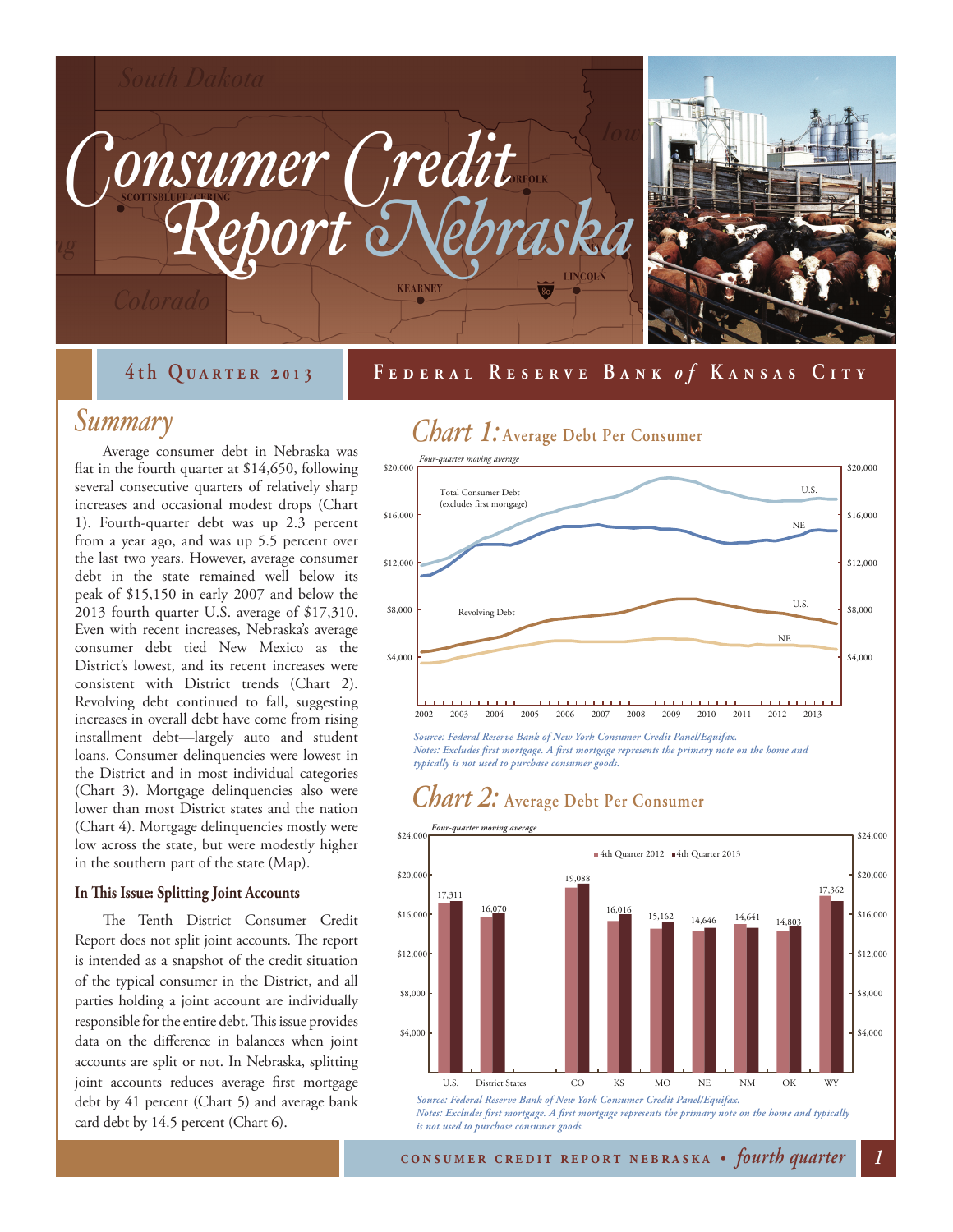

### **September 20 4th Quarter 2 01 31 0 Federal Reserve Bank Federal Reserve Bank** *o fo f* **Kansas City Kansas City**

### *Summary*

Average consumer debt in Nebraska was flat in the fourth quarter at \$14,650, following several consecutive quarters of relatively sharp increases and occasional modest drops (Chart 1). Fourth-quarter debt was up 2.3 percent from a year ago, and was up 5.5 percent over the last two years. However, average consumer debt in the state remained well below its peak of \$15,150 in early 2007 and below the 2013 fourth quarter U.S. average of \$17,310. Even with recent increases, Nebraska's average consumer debt tied New Mexico as the District's lowest, and its recent increases were consistent with District trends (Chart 2). Revolving debt continued to fall, suggesting increases in overall debt have come from rising installment debt—largely auto and student loans. Consumer delinquencies were lowest in the District and in most individual categories (Chart 3). Mortgage delinquencies also were lower than most District states and the nation (Chart 4). Mortgage delinquencies mostly were low across the state, but were modestly higher in the southern part of the state (Map).

#### **In This Issue: Splitting Joint Accounts**

The Tenth District Consumer Credit Report does not split joint accounts. The report is intended as a snapshot of the credit situation of the typical consumer in the District, and all parties holding a joint account are individually responsible for the entire debt. This issue provides data on the difference in balances when joint accounts are split or not. In Nebraska, splitting joint accounts reduces average first mortgage debt by 41 percent (Chart 5) and average bank card debt by 14.5 percent (Chart 6).



*Source: Federal Reserve Bank of New York Consumer Credit Panel/Equifax. Notes: Excludes first mortgage. A first mortgage represents the primary note on the home and typically is not used to purchase consumer goods.* 

### *Chart 2:* **Average Debt Per Consumer**

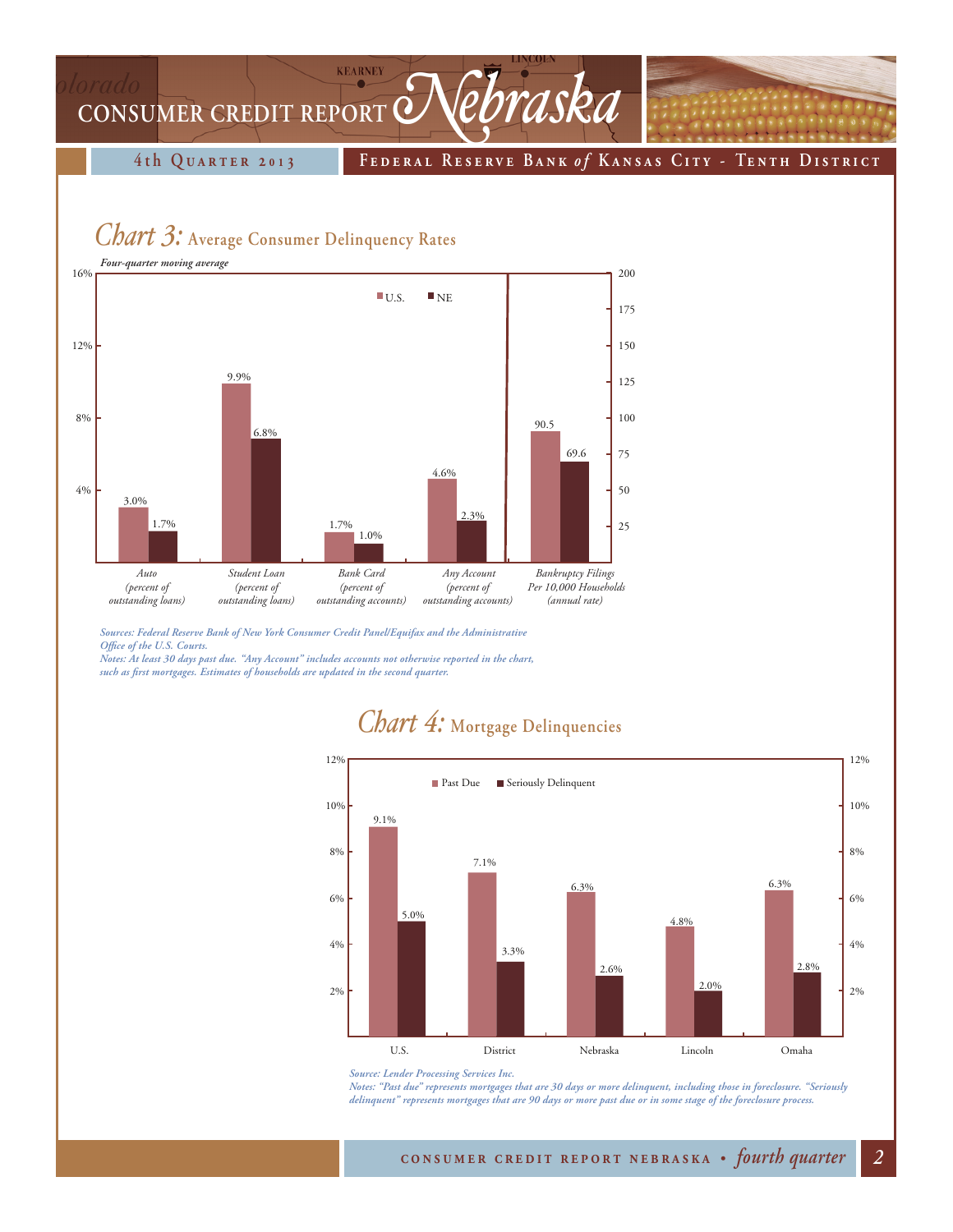## **KEARNEY** CONSUMER CREDIT REPORT *Mebraska*

**4th Quarter 2 01 3 Federal Reserve Bank** *o f* **K ansas Cit y - Tenth District**

### *Chart 3:* **Average Consumer Delinquency Rates**



*Sources: Federal Reserve Bank of New York Consumer Credit Panel/Equifax and the Administrative Office of the U.S. Courts.*

*Notes: At least 30 days past due. "Any Account" includes accounts not otherwise reported in the chart, such as first mortgages. Estimates of households are updated in the second quarter.*

#### 9.1% 7.1% 6.3% 4.8% 6.3% 5.0% 3.3% 2.6% 2.0% 2.8% 2% 4% 6% 8% 10% 12% 2% 4% 6% 8% 10% 12% U.S. District Nebraska Lincoln Omaha **Past Due** Seriously Delinquent

### *Chart 4:* **Mortgage Delinquencies**

*Notes: "Past due" represents mortgages that are 30 days or more delinquent, including those in foreclosure. "Seriously delinquent" represents mortgages that are 90 days or more past due or in some stage of the foreclosure process.*

*Source: Lender Processing Services Inc.*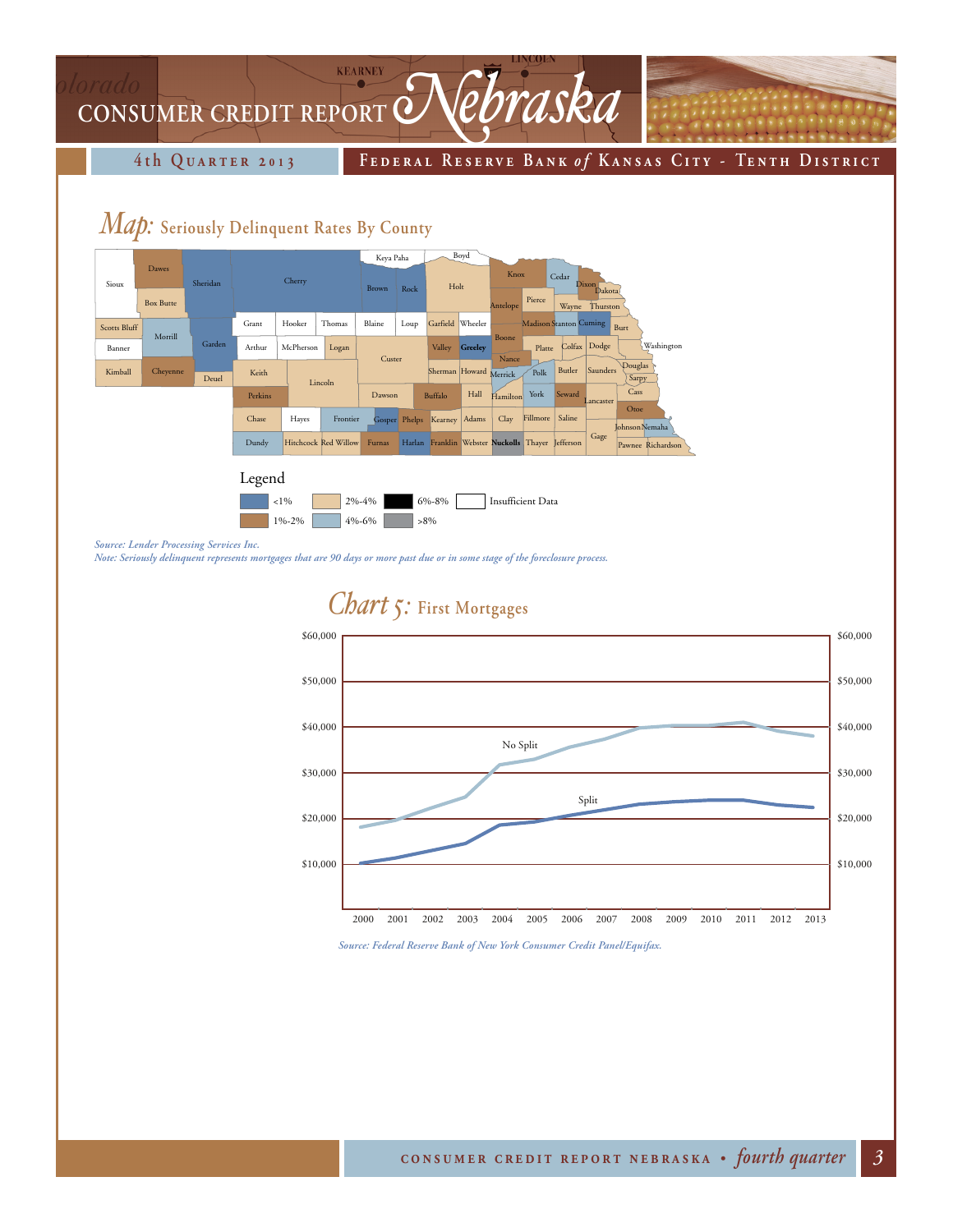### **KEARNEY** CONSUMER CREDIT REPORT **Nebraska**

**4th Quarter 2 01 3 Federal Reserve Bank** *o f* **K ansas Cit y - Tenth District**

### *Map:* **Seriously Delinquent Rates By County**



*Source: Lender Processing Services Inc.* 

*Note: Seriously delinquent represents mortgages that are 90 days or more past due or in some stage of the foreclosure process.*



*Source: Federal Reserve Bank of New York Consumer Credit Panel/Equifax.*